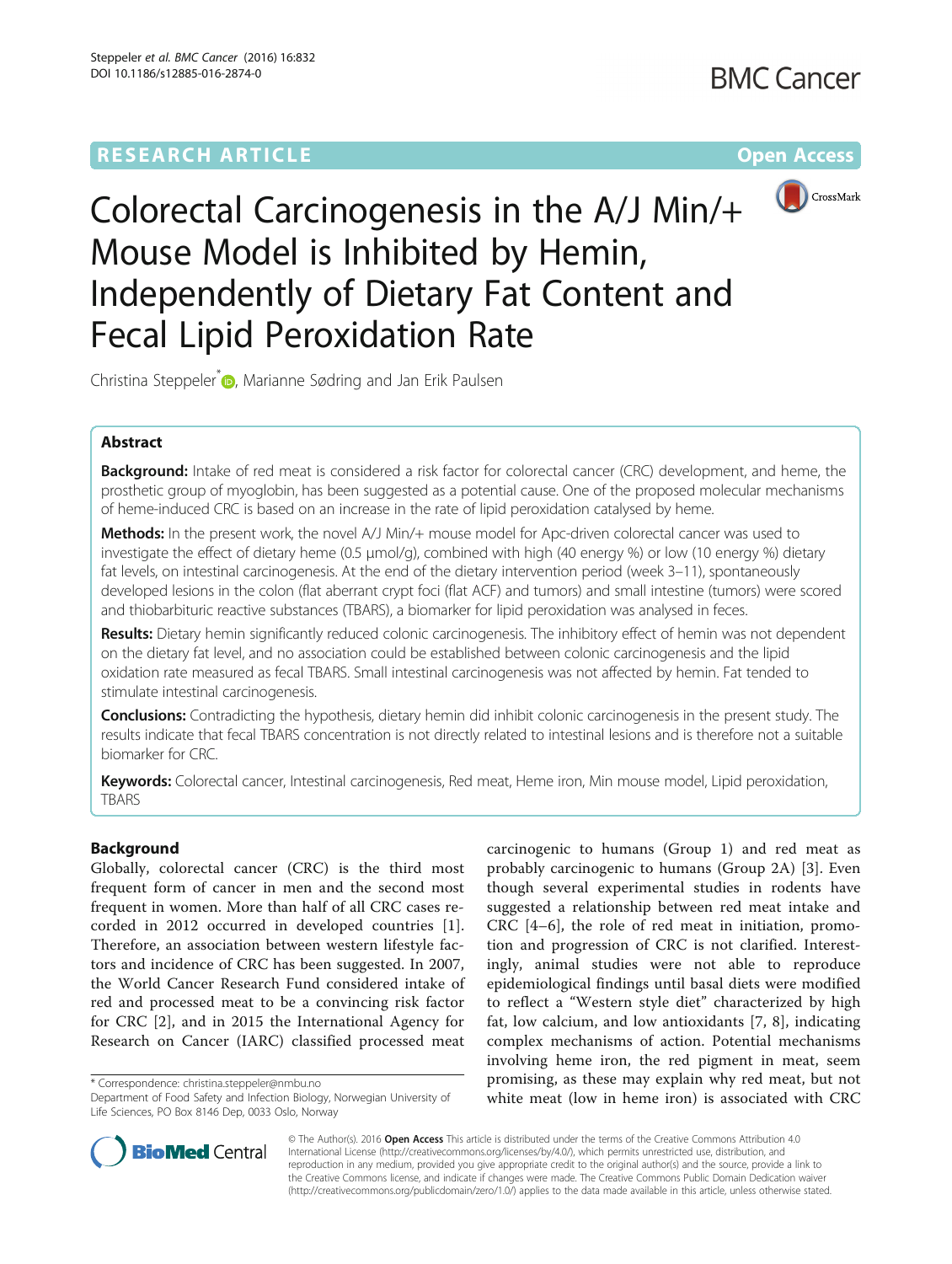

# Colorectal Carcinogenesis in the A/J Min/+ Mouse Model is Inhibited by Hemin, Independently of Dietary Fat Content and Fecal Lipid Peroxidation Rate

Christina Steppeler<sup>[\\*](http://orcid.org/0000-0001-9279-2487)</sup><sup>D</sup>, Marianne Sødring and Jan Erik Paulsen

# Abstract

Background: Intake of red meat is considered a risk factor for colorectal cancer (CRC) development, and heme, the prosthetic group of myoglobin, has been suggested as a potential cause. One of the proposed molecular mechanisms of heme-induced CRC is based on an increase in the rate of lipid peroxidation catalysed by heme.

Methods: In the present work, the novel A/J Min/+ mouse model for Apc-driven colorectal cancer was used to investigate the effect of dietary heme (0.5 μmol/g), combined with high (40 energy %) or low (10 energy %) dietary fat levels, on intestinal carcinogenesis. At the end of the dietary intervention period (week 3–11), spontaneously developed lesions in the colon (flat aberrant crypt foci (flat ACF) and tumors) and small intestine (tumors) were scored and thiobarbituric reactive substances (TBARS), a biomarker for lipid peroxidation was analysed in feces.

Results: Dietary hemin significantly reduced colonic carcinogenesis. The inhibitory effect of hemin was not dependent on the dietary fat level, and no association could be established between colonic carcinogenesis and the lipid oxidation rate measured as fecal TBARS. Small intestinal carcinogenesis was not affected by hemin. Fat tended to stimulate intestinal carcinogenesis.

**Conclusions:** Contradicting the hypothesis, dietary hemin did inhibit colonic carcinogenesis in the present study. The results indicate that fecal TBARS concentration is not directly related to intestinal lesions and is therefore not a suitable biomarker for CRC.

Keywords: Colorectal cancer, Intestinal carcinogenesis, Red meat, Heme iron, Min mouse model, Lipid peroxidation, **TBARS** 

# Background

Globally, colorectal cancer (CRC) is the third most frequent form of cancer in men and the second most frequent in women. More than half of all CRC cases recorded in 2012 occurred in developed countries [\[1](#page-9-0)]. Therefore, an association between western lifestyle factors and incidence of CRC has been suggested. In 2007, the World Cancer Research Fund considered intake of red and processed meat to be a convincing risk factor for CRC [\[2](#page-9-0)], and in 2015 the International Agency for Research on Cancer (IARC) classified processed meat

\* Correspondence: [christina.steppeler@nmbu.no](mailto:christina.steppeler@nmbu.no)

carcinogenic to humans (Group 1) and red meat as probably carcinogenic to humans (Group 2A) [[3\]](#page-9-0). Even though several experimental studies in rodents have suggested a relationship between red meat intake and CRC [[4](#page-9-0)–[6\]](#page-9-0), the role of red meat in initiation, promotion and progression of CRC is not clarified. Interestingly, animal studies were not able to reproduce epidemiological findings until basal diets were modified to reflect a "Western style diet" characterized by high fat, low calcium, and low antioxidants [[7, 8](#page-9-0)], indicating complex mechanisms of action. Potential mechanisms involving heme iron, the red pigment in meat, seem promising, as these may explain why red meat, but not white meat (low in heme iron) is associated with CRC



© The Author(s). 2016 Open Access This article is distributed under the terms of the Creative Commons Attribution 4.0 International License [\(http://creativecommons.org/licenses/by/4.0/](http://creativecommons.org/licenses/by/4.0/)), which permits unrestricted use, distribution, and reproduction in any medium, provided you give appropriate credit to the original author(s) and the source, provide a link to the Creative Commons license, and indicate if changes were made. The Creative Commons Public Domain Dedication waiver [\(http://creativecommons.org/publicdomain/zero/1.0/](http://creativecommons.org/publicdomain/zero/1.0/)) applies to the data made available in this article, unless otherwise stated.

Department of Food Safety and Infection Biology, Norwegian University of Life Sciences, PO Box 8146 Dep, 0033 Oslo, Norway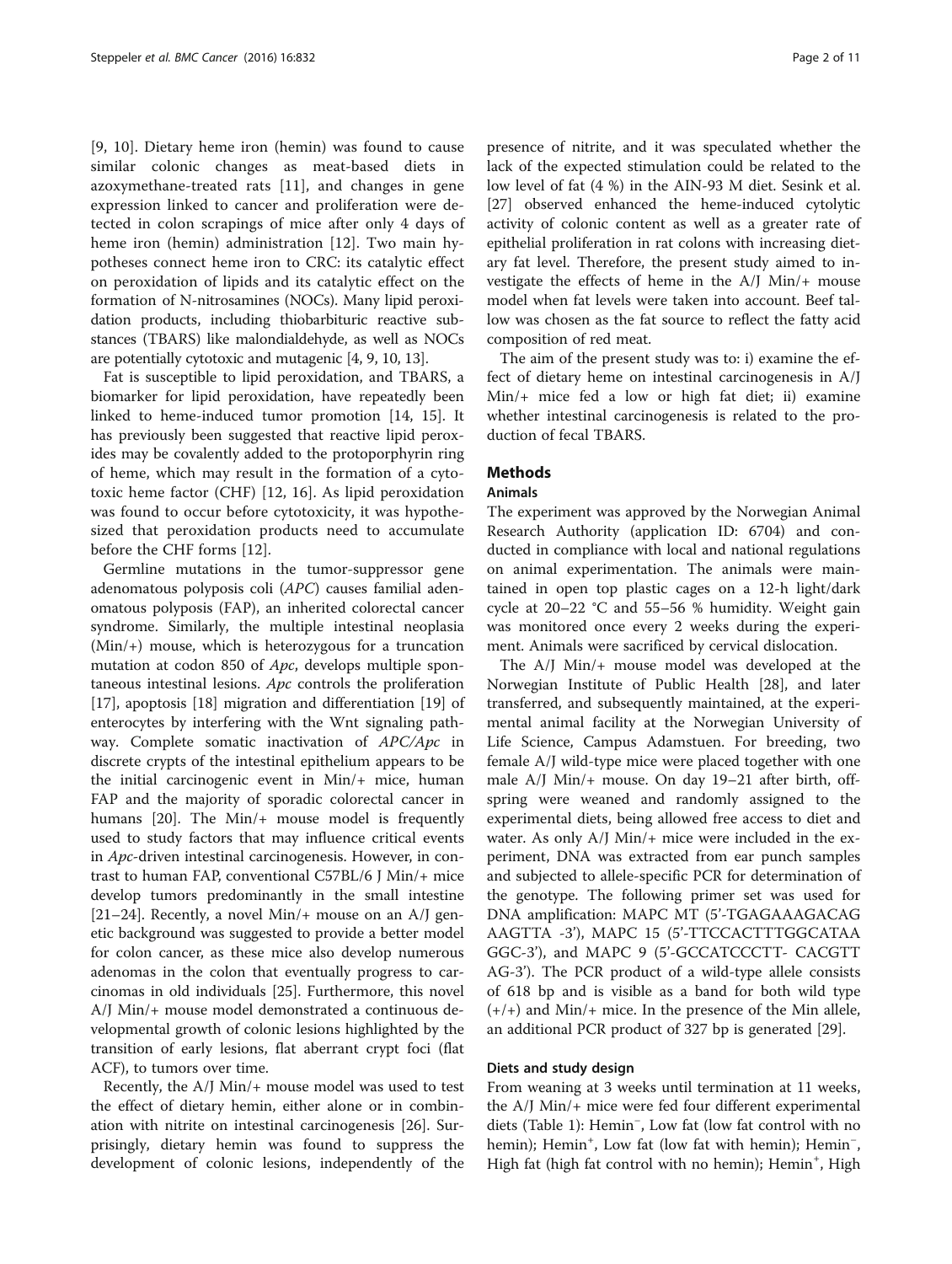[[9, 10\]](#page-9-0). Dietary heme iron (hemin) was found to cause similar colonic changes as meat-based diets in azoxymethane-treated rats [\[11](#page-9-0)], and changes in gene expression linked to cancer and proliferation were detected in colon scrapings of mice after only 4 days of heme iron (hemin) administration [[12\]](#page-9-0). Two main hypotheses connect heme iron to CRC: its catalytic effect on peroxidation of lipids and its catalytic effect on the formation of N-nitrosamines (NOCs). Many lipid peroxidation products, including thiobarbituric reactive substances (TBARS) like malondialdehyde, as well as NOCs are potentially cytotoxic and mutagenic [\[4, 9](#page-9-0), [10, 13\]](#page-9-0).

Fat is susceptible to lipid peroxidation, and TBARS, a biomarker for lipid peroxidation, have repeatedly been linked to heme-induced tumor promotion [[14](#page-9-0), [15\]](#page-9-0). It has previously been suggested that reactive lipid peroxides may be covalently added to the protoporphyrin ring of heme, which may result in the formation of a cytotoxic heme factor (CHF) [[12](#page-9-0), [16\]](#page-9-0). As lipid peroxidation was found to occur before cytotoxicity, it was hypothesized that peroxidation products need to accumulate before the CHF forms [\[12](#page-9-0)].

Germline mutations in the tumor-suppressor gene adenomatous polyposis coli (APC) causes familial adenomatous polyposis (FAP), an inherited colorectal cancer syndrome. Similarly, the multiple intestinal neoplasia (Min/+) mouse, which is heterozygous for a truncation mutation at codon 850 of Apc, develops multiple spontaneous intestinal lesions. Apc controls the proliferation [[17\]](#page-9-0), apoptosis [\[18](#page-9-0)] migration and differentiation [\[19\]](#page-9-0) of enterocytes by interfering with the Wnt signaling pathway. Complete somatic inactivation of APC/Apc in discrete crypts of the intestinal epithelium appears to be the initial carcinogenic event in Min/+ mice, human FAP and the majority of sporadic colorectal cancer in humans [\[20\]](#page-9-0). The Min/+ mouse model is frequently used to study factors that may influence critical events in Apc-driven intestinal carcinogenesis. However, in contrast to human FAP, conventional C57BL/6 J Min/+ mice develop tumors predominantly in the small intestine  $[21–24]$  $[21–24]$  $[21–24]$  $[21–24]$  $[21–24]$ . Recently, a novel Min/+ mouse on an A/J genetic background was suggested to provide a better model for colon cancer, as these mice also develop numerous adenomas in the colon that eventually progress to carcinomas in old individuals [\[25](#page-9-0)]. Furthermore, this novel A/J Min/+ mouse model demonstrated a continuous developmental growth of colonic lesions highlighted by the transition of early lesions, flat aberrant crypt foci (flat ACF), to tumors over time.

Recently, the A/J Min/+ mouse model was used to test the effect of dietary hemin, either alone or in combination with nitrite on intestinal carcinogenesis [\[26\]](#page-9-0). Surprisingly, dietary hemin was found to suppress the development of colonic lesions, independently of the presence of nitrite, and it was speculated whether the lack of the expected stimulation could be related to the low level of fat (4 %) in the AIN-93 M diet. Sesink et al. [[27\]](#page-9-0) observed enhanced the heme-induced cytolytic activity of colonic content as well as a greater rate of epithelial proliferation in rat colons with increasing dietary fat level. Therefore, the present study aimed to investigate the effects of heme in the A/J Min/+ mouse model when fat levels were taken into account. Beef tallow was chosen as the fat source to reflect the fatty acid composition of red meat.

The aim of the present study was to: i) examine the effect of dietary heme on intestinal carcinogenesis in A/J Min/+ mice fed a low or high fat diet; ii) examine whether intestinal carcinogenesis is related to the production of fecal TBARS.

#### **Methods**

#### Animals

The experiment was approved by the Norwegian Animal Research Authority (application ID: 6704) and conducted in compliance with local and national regulations on animal experimentation. The animals were maintained in open top plastic cages on a 12-h light/dark cycle at 20–22 °C and 55–56 % humidity. Weight gain was monitored once every 2 weeks during the experiment. Animals were sacrificed by cervical dislocation.

The A/J Min/+ mouse model was developed at the Norwegian Institute of Public Health [\[28\]](#page-9-0), and later transferred, and subsequently maintained, at the experimental animal facility at the Norwegian University of Life Science, Campus Adamstuen. For breeding, two female A/J wild-type mice were placed together with one male A/J Min/+ mouse. On day 19–21 after birth, offspring were weaned and randomly assigned to the experimental diets, being allowed free access to diet and water. As only A/J Min/+ mice were included in the experiment, DNA was extracted from ear punch samples and subjected to allele-specific PCR for determination of the genotype. The following primer set was used for DNA amplification: MAPC MT (5'-TGAGAAAGACAG AAGTTA -3'), MAPC 15 (5'-TTCCACTTTGGCATAA GGC-3'), and MAPC 9 (5'-GCCATCCCTT- CACGTT AG-3'). The PCR product of a wild-type allele consists of 618 bp and is visible as a band for both wild type  $(+/+)$  and Min/+ mice. In the presence of the Min allele, an additional PCR product of 327 bp is generated [\[29](#page-9-0)].

#### Diets and study design

From weaning at 3 weeks until termination at 11 weeks, the A/J Min/+ mice were fed four different experimental diets (Table [1](#page-2-0)): Hemin<sup>−</sup> , Low fat (low fat control with no hemin); Hemin<sup>+</sup>, Low fat (low fat with hemin); Hemin<sup>-</sup>, High fat (high fat control with no hemin); Hemin<sup>+</sup>, High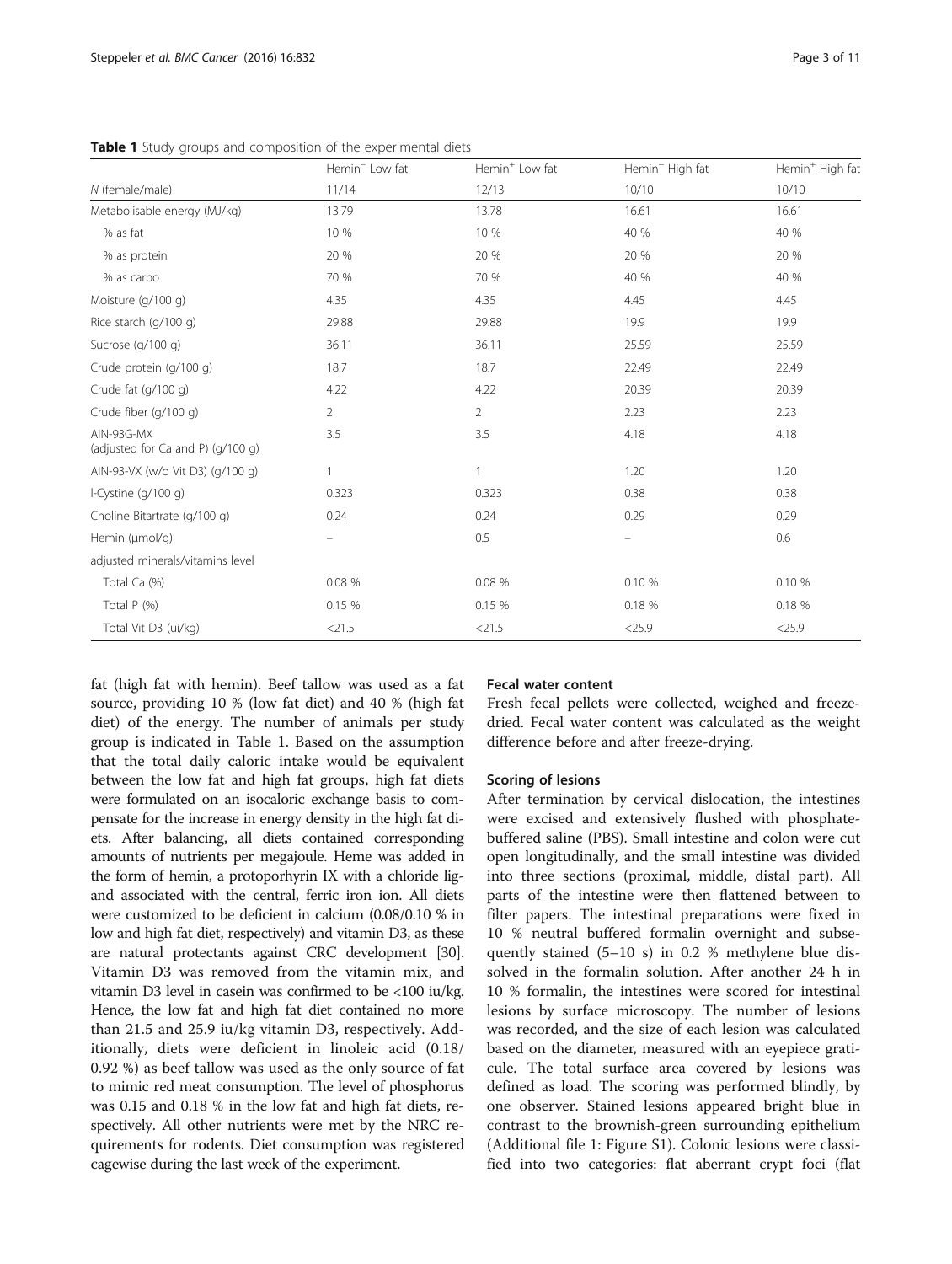Hemin<sup>−</sup> Low fat Hemin<sup>+</sup> Low fat Hemin<sup>−</sup> High fat Hemin<sup>+</sup> High fat N (female/male) 11/14 12/13 10/10 10/10 Metabolisable energy (MJ/kg) 13.79 13.79 13.78 16.61 16.61 16.61 16.61 % as fat  $10\%$  10 % 10 %  $40\%$  40 %  $40\%$ % as protein  $20\%$  20 %  $20\%$   $20\%$   $20\%$   $20\%$ % as carbo 70 % 70 % 40 % 40 % Moisture (g/100 g) 4.35 4.35 4.45 4.45 Rice starch (g/100 g) 29.88 29.88 19.9 19.9 19.9 19.9 Sucrose (g/100 g) 36.11 36.11 36.11 36.11 36.11 25.59 25.59 Crude protein (g/100 g) 18.7 18.7 18.7 22.49 22.49 22.49 Crude fat (g/100 g) **4.22** 4.22 20.39 20.39 20.39 Crude fiber (g/100 g) 2 2 2.23 2.23 AIN-93G-MX (adjusted for Ca and P) (g/100 g) 3.5 3.5 4.18 4.18 AIN-93-VX (w/o Vit D3) (g/100 g) 1 1 1 1 1 1 1.20 1.20 1.20 l-Cystine (g/100 g) 0.323 0.323 0.38 0.38 Choline Bitartrate (g/100 g)  $0.24$  0.24 0.29 0.29 0.29 0.29 Hemin (μmol/g)  $-$  0.5  $-$  0.6 adjusted minerals/vitamins level Total Ca (%) 0.08 % 0.08 % 0.10 % 0.10 % Total P (%) 0.15 % 0.15 % 0.18 % 0.18 % Total Vit D3 (ui/kg) <21.5 <21.5 <25.9 <25.9

<span id="page-2-0"></span>Table 1 Study groups and composition of the experimental diets

fat (high fat with hemin). Beef tallow was used as a fat source, providing 10 % (low fat diet) and 40 % (high fat diet) of the energy. The number of animals per study group is indicated in Table 1. Based on the assumption that the total daily caloric intake would be equivalent between the low fat and high fat groups, high fat diets were formulated on an isocaloric exchange basis to compensate for the increase in energy density in the high fat diets. After balancing, all diets contained corresponding amounts of nutrients per megajoule. Heme was added in the form of hemin, a protoporhyrin IX with a chloride ligand associated with the central, ferric iron ion. All diets were customized to be deficient in calcium (0.08/0.10 % in low and high fat diet, respectively) and vitamin D3, as these are natural protectants against CRC development [\[30](#page-9-0)]. Vitamin D3 was removed from the vitamin mix, and vitamin D3 level in casein was confirmed to be <100 iu/kg. Hence, the low fat and high fat diet contained no more than 21.5 and 25.9 iu/kg vitamin D3, respectively. Additionally, diets were deficient in linoleic acid (0.18/ 0.92 %) as beef tallow was used as the only source of fat to mimic red meat consumption. The level of phosphorus was 0.15 and 0.18 % in the low fat and high fat diets, respectively. All other nutrients were met by the NRC requirements for rodents. Diet consumption was registered cagewise during the last week of the experiment.

### Fecal water content

Fresh fecal pellets were collected, weighed and freezedried. Fecal water content was calculated as the weight difference before and after freeze-drying.

#### Scoring of lesions

After termination by cervical dislocation, the intestines were excised and extensively flushed with phosphatebuffered saline (PBS). Small intestine and colon were cut open longitudinally, and the small intestine was divided into three sections (proximal, middle, distal part). All parts of the intestine were then flattened between to filter papers. The intestinal preparations were fixed in 10 % neutral buffered formalin overnight and subsequently stained (5–10 s) in 0.2 % methylene blue dissolved in the formalin solution. After another 24 h in 10 % formalin, the intestines were scored for intestinal lesions by surface microscopy. The number of lesions was recorded, and the size of each lesion was calculated based on the diameter, measured with an eyepiece graticule. The total surface area covered by lesions was defined as load. The scoring was performed blindly, by one observer. Stained lesions appeared bright blue in contrast to the brownish-green surrounding epithelium (Additional file [1](#page-8-0): Figure S1). Colonic lesions were classified into two categories: flat aberrant crypt foci (flat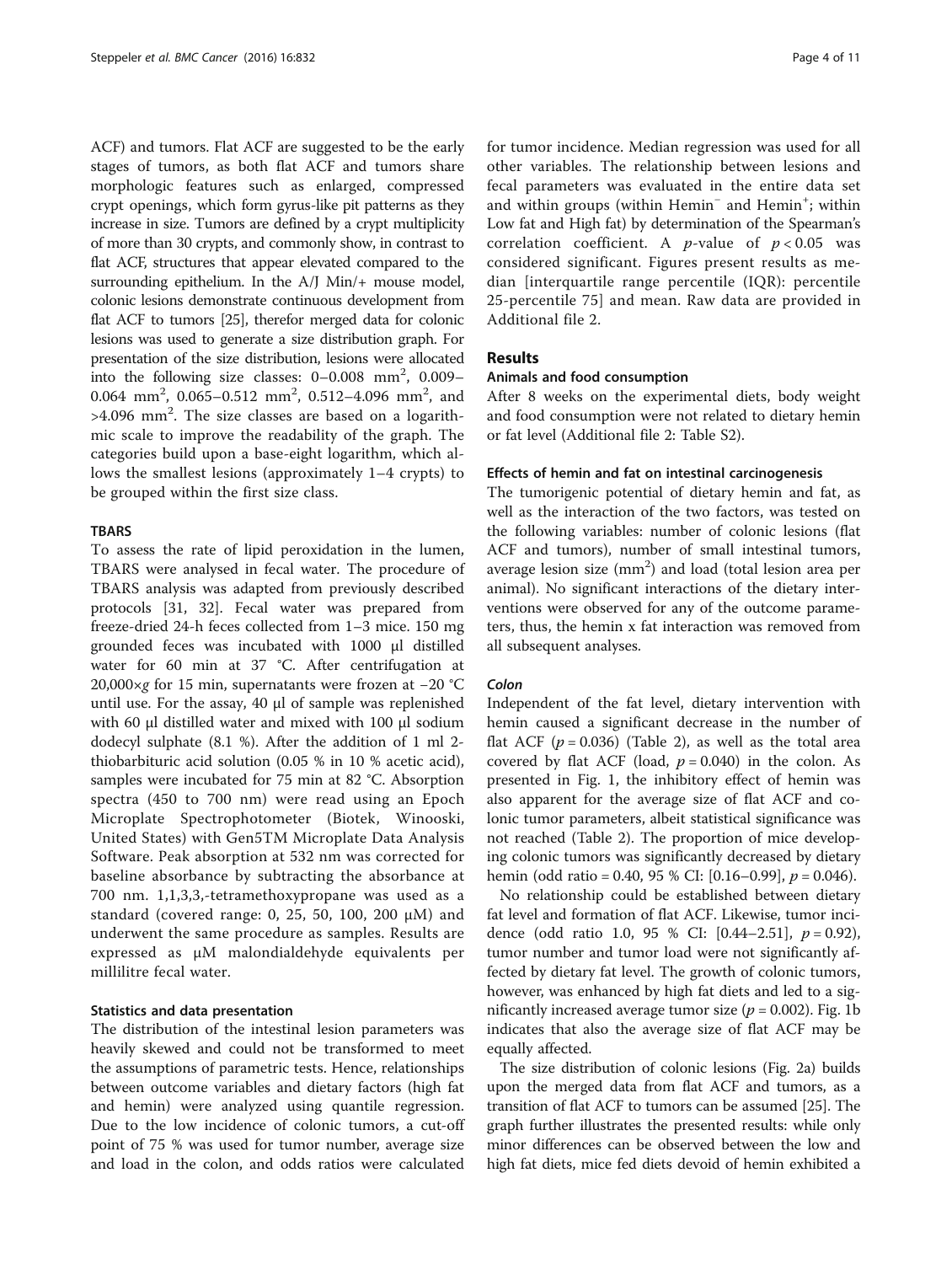ACF) and tumors. Flat ACF are suggested to be the early stages of tumors, as both flat ACF and tumors share morphologic features such as enlarged, compressed crypt openings, which form gyrus-like pit patterns as they increase in size. Tumors are defined by a crypt multiplicity of more than 30 crypts, and commonly show, in contrast to flat ACF, structures that appear elevated compared to the surrounding epithelium. In the A/J Min/+ mouse model, colonic lesions demonstrate continuous development from flat ACF to tumors [\[25](#page-9-0)], therefor merged data for colonic lesions was used to generate a size distribution graph. For presentation of the size distribution, lesions were allocated into the following size classes:  $0-0.008$  mm<sup>2</sup>,  $0.009-$ 0.064 mm<sup>2</sup>, 0.065–0.512 mm<sup>2</sup>, 0.512–4.096 mm<sup>2</sup>, and >4.096 mm<sup>2</sup>. The size classes are based on a logarithmic scale to improve the readability of the graph. The categories build upon a base-eight logarithm, which allows the smallest lesions (approximately 1–4 crypts) to be grouped within the first size class.

#### **TBARS**

To assess the rate of lipid peroxidation in the lumen, TBARS were analysed in fecal water. The procedure of TBARS analysis was adapted from previously described protocols [\[31](#page-9-0), [32](#page-9-0)]. Fecal water was prepared from freeze-dried 24-h feces collected from 1–3 mice. 150 mg grounded feces was incubated with 1000 μl distilled water for 60 min at 37 °C. After centrifugation at 20,000×g for 15 min, supernatants were frozen at <sup>−</sup>20 °C until use. For the assay, 40 μl of sample was replenished with 60 μl distilled water and mixed with 100 μl sodium dodecyl sulphate (8.1 %). After the addition of 1 ml 2 thiobarbituric acid solution (0.05 % in 10 % acetic acid), samples were incubated for 75 min at 82 °C. Absorption spectra (450 to 700 nm) were read using an Epoch Microplate Spectrophotometer (Biotek, Winooski, United States) with Gen5TM Microplate Data Analysis Software. Peak absorption at 532 nm was corrected for baseline absorbance by subtracting the absorbance at 700 nm. 1,1,3,3,-tetramethoxypropane was used as a standard (covered range: 0, 25, 50, 100, 200  $\mu$ M) and underwent the same procedure as samples. Results are expressed as μM malondialdehyde equivalents per millilitre fecal water.

### Statistics and data presentation

The distribution of the intestinal lesion parameters was heavily skewed and could not be transformed to meet the assumptions of parametric tests. Hence, relationships between outcome variables and dietary factors (high fat and hemin) were analyzed using quantile regression. Due to the low incidence of colonic tumors, a cut-off point of 75 % was used for tumor number, average size and load in the colon, and odds ratios were calculated for tumor incidence. Median regression was used for all other variables. The relationship between lesions and fecal parameters was evaluated in the entire data set and within groups (within Hemin<sup>-</sup> and Hemin<sup>+</sup>; within Low fat and High fat) by determination of the Spearman's correlation coefficient. A *p*-value of  $p < 0.05$  was considered significant. Figures present results as median [interquartile range percentile (IQR): percentile 25-percentile 75] and mean. Raw data are provided in Additional file [2.](#page-8-0)

# Results

#### Animals and food consumption

After 8 weeks on the experimental diets, body weight and food consumption were not related to dietary hemin or fat level (Additional file [2:](#page-8-0) Table S2).

#### Effects of hemin and fat on intestinal carcinogenesis

The tumorigenic potential of dietary hemin and fat, as well as the interaction of the two factors, was tested on the following variables: number of colonic lesions (flat ACF and tumors), number of small intestinal tumors, average lesion size  $(mm^2)$  and load (total lesion area per animal). No significant interactions of the dietary interventions were observed for any of the outcome parameters, thus, the hemin x fat interaction was removed from all subsequent analyses.

#### Colon

Independent of the fat level, dietary intervention with hemin caused a significant decrease in the number of flat ACF ( $p = 0.036$ ) (Table [2\)](#page-4-0), as well as the total area covered by flat ACF (load,  $p = 0.040$ ) in the colon. As presented in Fig. [1](#page-4-0), the inhibitory effect of hemin was also apparent for the average size of flat ACF and colonic tumor parameters, albeit statistical significance was not reached (Table [2\)](#page-4-0). The proportion of mice developing colonic tumors was significantly decreased by dietary hemin (odd ratio = 0.40, 95 % CI: [0.16–0.99],  $p = 0.046$ ).

No relationship could be established between dietary fat level and formation of flat ACF. Likewise, tumor incidence (odd ratio 1.0, 95 % CI:  $[0.44-2.51]$ ,  $p = 0.92$ ), tumor number and tumor load were not significantly affected by dietary fat level. The growth of colonic tumors, however, was enhanced by high fat diets and led to a significantly increased average tumor size ( $p = 0.002$ ). Fig. [1b](#page-4-0) indicates that also the average size of flat ACF may be equally affected.

The size distribution of colonic lesions (Fig. [2a](#page-5-0)) builds upon the merged data from flat ACF and tumors, as a transition of flat ACF to tumors can be assumed [\[25\]](#page-9-0). The graph further illustrates the presented results: while only minor differences can be observed between the low and high fat diets, mice fed diets devoid of hemin exhibited a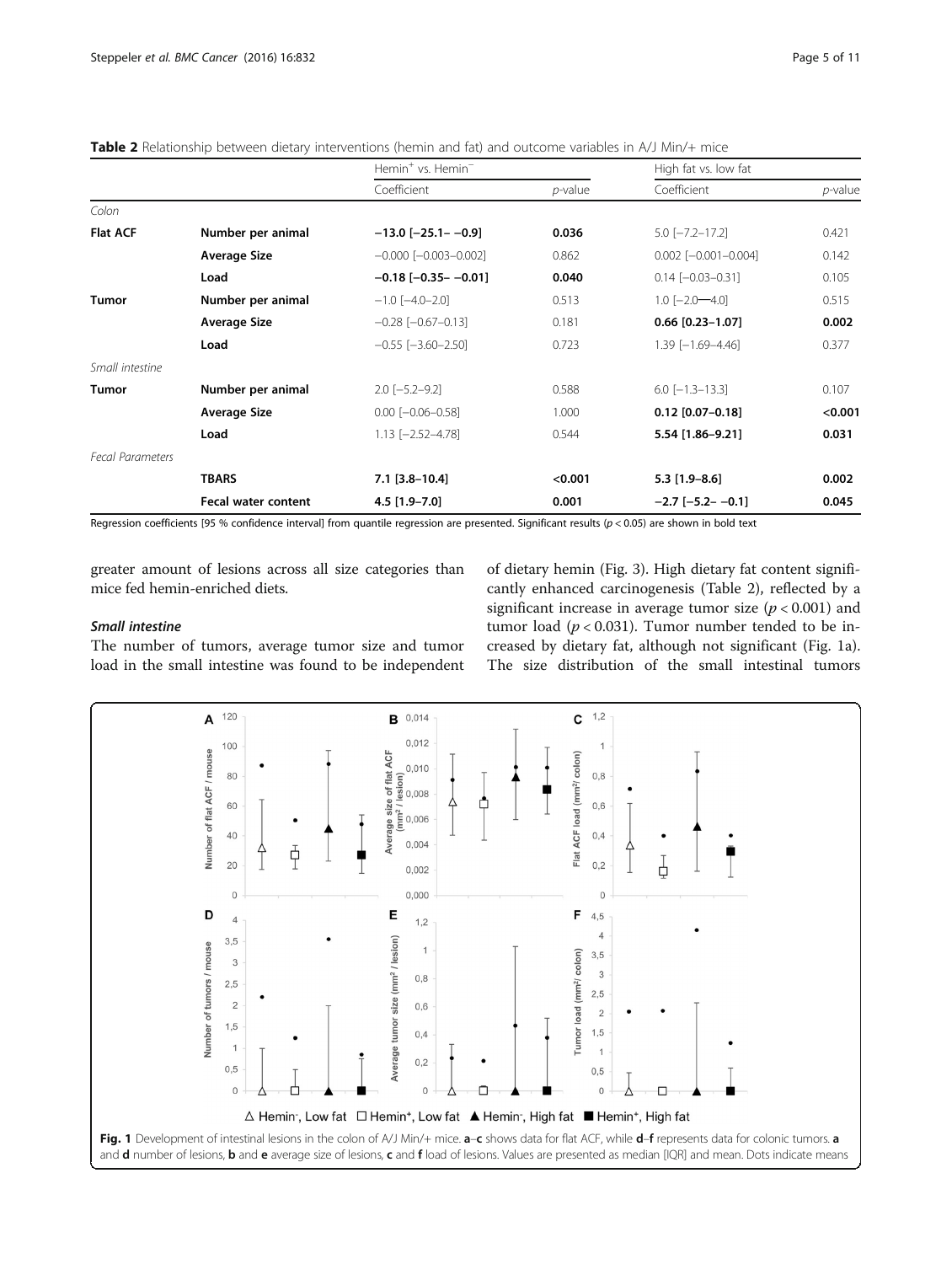<span id="page-4-0"></span>Table 2 Relationship between dietary interventions (hemin and fat) and outcome variables in A/J Min/+ mice

|                         |                     | Hemin <sup>+</sup> vs. Hemin <sup>-</sup> |            | High fat vs. low fat    |            |
|-------------------------|---------------------|-------------------------------------------|------------|-------------------------|------------|
|                         |                     | Coefficient                               | $p$ -value | Coefficient             | $p$ -value |
| Colon                   |                     |                                           |            |                         |            |
| <b>Flat ACF</b>         | Number per animal   | $-13.0$ [ $-25.1$ - $-0.9$ ]              | 0.036      | $5.0$ $[-7.2 - 17.2]$   | 0.421      |
|                         | <b>Average Size</b> | $-0.000$ [ $-0.003 - 0.002$ ]             | 0.862      | $0.002$ [-0.001-0.004]  | 0.142      |
|                         | Load                | $-0.18$ [ $-0.35 -0.01$ ]                 | 0.040      | $0.14$ $[-0.03 - 0.31]$ | 0.105      |
| <b>Tumor</b>            | Number per animal   | $-1.0$ $[-4.0 - 2.0]$                     | 0.513      | $1.0$ [-2.0-4.0]        | 0.515      |
|                         | <b>Average Size</b> | $-0.28$ $[-0.67 - 0.13]$                  | 0.181      | $0.66$ [0.23-1.07]      | 0.002      |
|                         | Load                | $-0.55$ [ $-3.60-2.50$ ]                  | 0.723      | $1.39$ [-1.69-4.46]     | 0.377      |
| Small intestine         |                     |                                           |            |                         |            |
| Tumor                   | Number per animal   | $2.0$ [-5.2-9.2]                          | 0.588      | $6.0$ [-1.3-13.3]       | 0.107      |
|                         | <b>Average Size</b> | $0.00$ $[-0.06 - 0.58]$                   | 1.000      | $0.12$ [0.07-0.18]      | < 0.001    |
|                         | Load                | $1.13$ $[-2.52 - 4.78]$                   | 0.544      | 5.54 [1.86-9.21]        | 0.031      |
| <b>Fecal Parameters</b> |                     |                                           |            |                         |            |
|                         | <b>TBARS</b>        | $7.1$ [3.8-10.4]                          | < 0.001    | $5.3$ [1.9-8.6]         | 0.002      |
|                         | Fecal water content | $4.5$ [1.9-7.0]                           | 0.001      | $-2.7$ [ $-5.2 -0.1$ ]  | 0.045      |

Regression coefficients [95 % confidence interval] from quantile regression are presented. Significant results ( $p < 0.05$ ) are shown in bold text

greater amount of lesions across all size categories than mice fed hemin-enriched diets.

# Small intestine

The number of tumors, average tumor size and tumor load in the small intestine was found to be independent of dietary hemin (Fig. [3\)](#page-5-0). High dietary fat content significantly enhanced carcinogenesis (Table 2), reflected by a significant increase in average tumor size  $(p < 0.001)$  and tumor load ( $p < 0.031$ ). Tumor number tended to be increased by dietary fat, although not significant (Fig. 1a). The size distribution of the small intestinal tumors

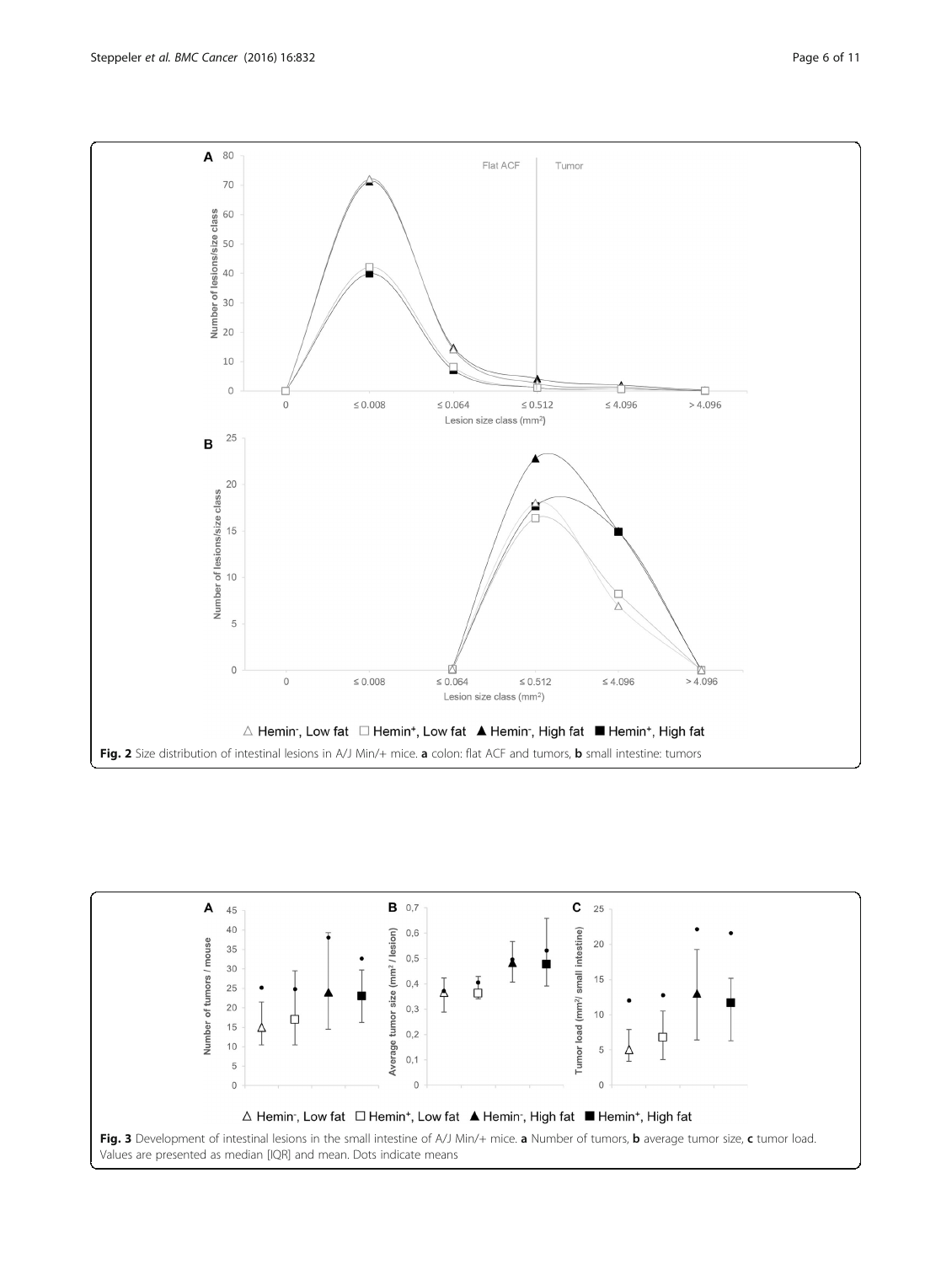<span id="page-5-0"></span>

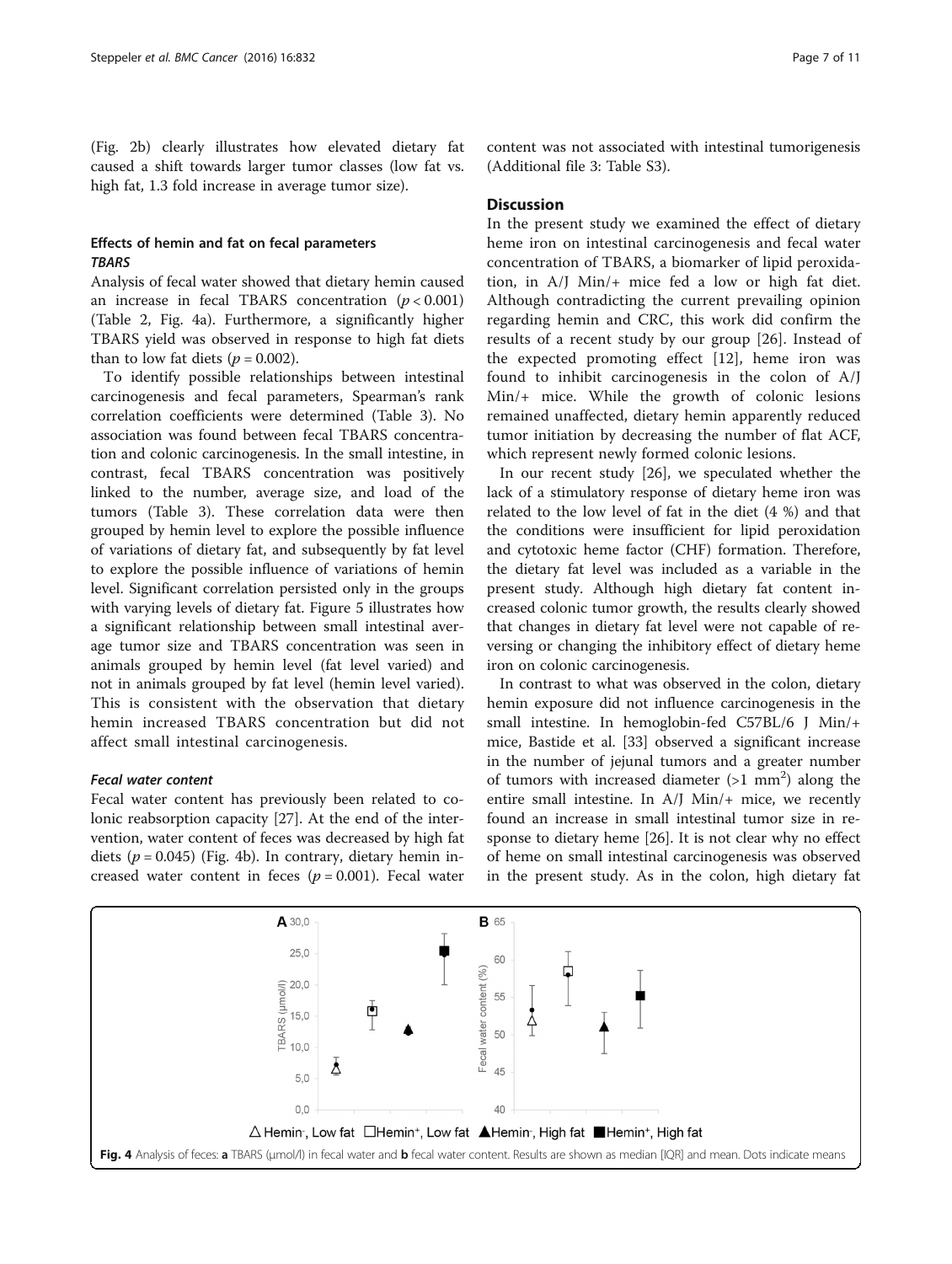(Fig. [2b](#page-5-0)) clearly illustrates how elevated dietary fat caused a shift towards larger tumor classes (low fat vs. high fat, 1.3 fold increase in average tumor size).

# Effects of hemin and fat on fecal parameters **TBARS**

Analysis of fecal water showed that dietary hemin caused an increase in fecal TBARS concentration  $(p < 0.001)$ (Table [2,](#page-4-0) Fig. 4a). Furthermore, a significantly higher TBARS yield was observed in response to high fat diets than to low fat diets ( $p = 0.002$ ).

To identify possible relationships between intestinal carcinogenesis and fecal parameters, Spearman's rank correlation coefficients were determined (Table [3\)](#page-7-0). No association was found between fecal TBARS concentration and colonic carcinogenesis. In the small intestine, in contrast, fecal TBARS concentration was positively linked to the number, average size, and load of the tumors (Table [3](#page-7-0)). These correlation data were then grouped by hemin level to explore the possible influence of variations of dietary fat, and subsequently by fat level to explore the possible influence of variations of hemin level. Significant correlation persisted only in the groups with varying levels of dietary fat. Figure [5](#page-7-0) illustrates how a significant relationship between small intestinal average tumor size and TBARS concentration was seen in animals grouped by hemin level (fat level varied) and not in animals grouped by fat level (hemin level varied). This is consistent with the observation that dietary hemin increased TBARS concentration but did not affect small intestinal carcinogenesis.

#### Fecal water content

Fecal water content has previously been related to colonic reabsorption capacity [\[27](#page-9-0)]. At the end of the intervention, water content of feces was decreased by high fat diets ( $p = 0.045$ ) (Fig. 4b). In contrary, dietary hemin increased water content in feces ( $p = 0.001$ ). Fecal water content was not associated with intestinal tumorigenesis (Additional file [3](#page-8-0): Table S3).

### **Discussion**

In the present study we examined the effect of dietary heme iron on intestinal carcinogenesis and fecal water concentration of TBARS, a biomarker of lipid peroxidation, in A/J Min/+ mice fed a low or high fat diet. Although contradicting the current prevailing opinion regarding hemin and CRC, this work did confirm the results of a recent study by our group [[26\]](#page-9-0). Instead of the expected promoting effect [\[12](#page-9-0)], heme iron was found to inhibit carcinogenesis in the colon of A/J Min/+ mice. While the growth of colonic lesions remained unaffected, dietary hemin apparently reduced tumor initiation by decreasing the number of flat ACF, which represent newly formed colonic lesions.

In our recent study [[26\]](#page-9-0), we speculated whether the lack of a stimulatory response of dietary heme iron was related to the low level of fat in the diet (4 %) and that the conditions were insufficient for lipid peroxidation and cytotoxic heme factor (CHF) formation. Therefore, the dietary fat level was included as a variable in the present study. Although high dietary fat content increased colonic tumor growth, the results clearly showed that changes in dietary fat level were not capable of reversing or changing the inhibitory effect of dietary heme iron on colonic carcinogenesis.

In contrast to what was observed in the colon, dietary hemin exposure did not influence carcinogenesis in the small intestine. In hemoglobin-fed C57BL/6 J Min/+ mice, Bastide et al. [[33\]](#page-9-0) observed a significant increase in the number of jejunal tumors and a greater number of tumors with increased diameter  $(1 mm<sup>2</sup>)$  along the entire small intestine. In A/J Min/+ mice, we recently found an increase in small intestinal tumor size in response to dietary heme [\[26](#page-9-0)]. It is not clear why no effect of heme on small intestinal carcinogenesis was observed in the present study. As in the colon, high dietary fat

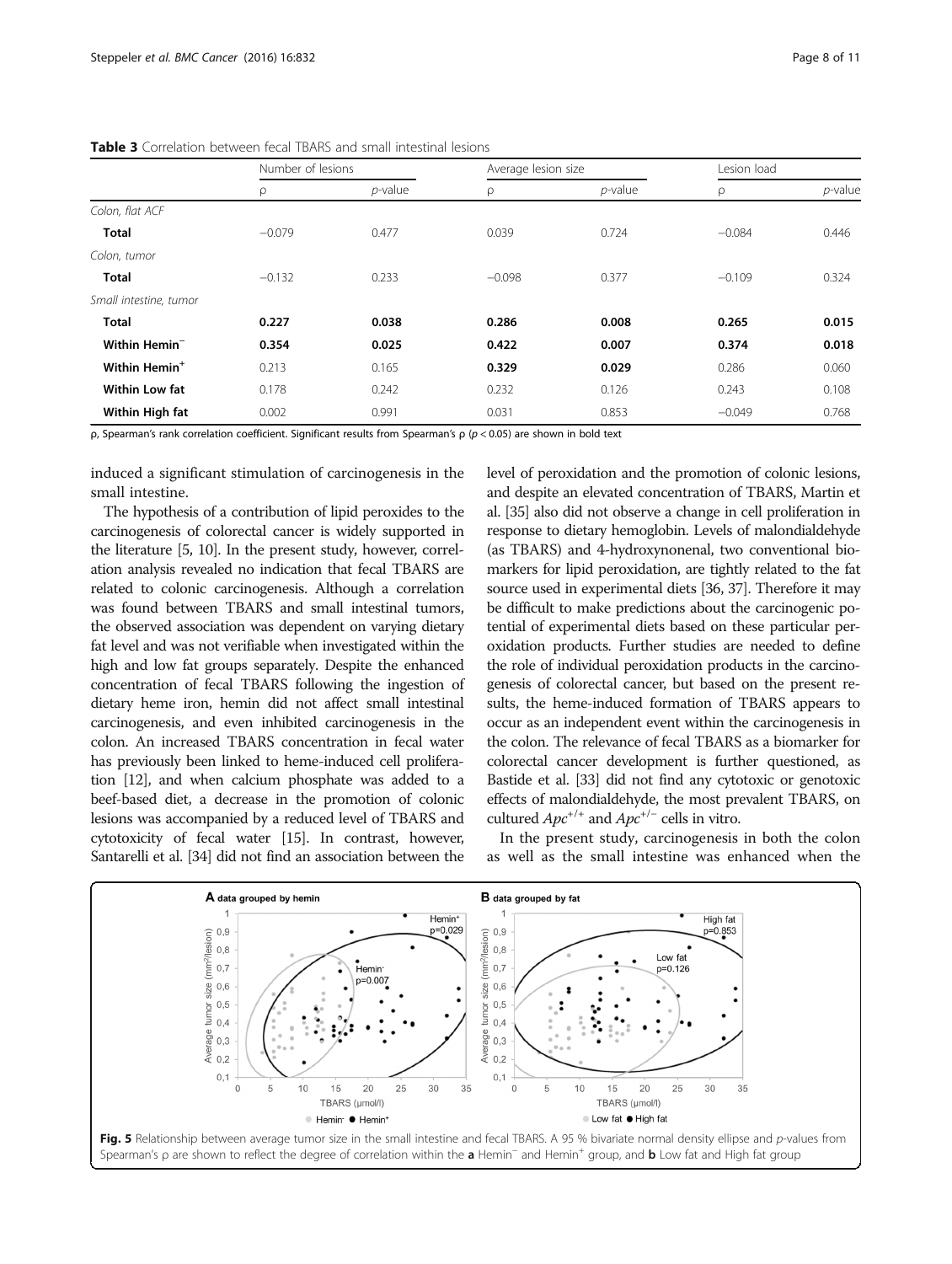| Page 8 of 11 |
|--------------|
|--------------|

|                           | Number of lesions |            | Average lesion size |            | Lesion load |            |
|---------------------------|-------------------|------------|---------------------|------------|-------------|------------|
|                           | ρ                 | $p$ -value | ρ                   | $p$ -value | ρ           | $p$ -value |
| Colon, flat ACF           |                   |            |                     |            |             |            |
| <b>Total</b>              | $-0.079$          | 0.477      | 0.039               | 0.724      | $-0.084$    | 0.446      |
| Colon, tumor              |                   |            |                     |            |             |            |
| <b>Total</b>              | $-0.132$          | 0.233      | $-0.098$            | 0.377      | $-0.109$    | 0.324      |
| Small intestine, tumor    |                   |            |                     |            |             |            |
| <b>Total</b>              | 0.227             | 0.038      | 0.286               | 0.008      | 0.265       | 0.015      |
| Within Hemin <sup>-</sup> | 0.354             | 0.025      | 0.422               | 0.007      | 0.374       | 0.018      |
| Within Hemin <sup>+</sup> | 0.213             | 0.165      | 0.329               | 0.029      | 0.286       | 0.060      |
| Within Low fat            | 0.178             | 0.242      | 0.232               | 0.126      | 0.243       | 0.108      |
| Within High fat           | 0.002             | 0.991      | 0.031               | 0.853      | $-0.049$    | 0.768      |

<span id="page-7-0"></span>Table 3 Correlation between fecal TBARS and small intestinal lesions

ρ, Spearman's rank correlation coefficient. Significant results from Spearman's ρ ( $p$  < 0.05) are shown in bold text

induced a significant stimulation of carcinogenesis in the small intestine.

The hypothesis of a contribution of lipid peroxides to the carcinogenesis of colorectal cancer is widely supported in the literature [\[5, 10](#page-9-0)]. In the present study, however, correlation analysis revealed no indication that fecal TBARS are related to colonic carcinogenesis. Although a correlation was found between TBARS and small intestinal tumors, the observed association was dependent on varying dietary fat level and was not verifiable when investigated within the high and low fat groups separately. Despite the enhanced concentration of fecal TBARS following the ingestion of dietary heme iron, hemin did not affect small intestinal carcinogenesis, and even inhibited carcinogenesis in the colon. An increased TBARS concentration in fecal water has previously been linked to heme-induced cell proliferation [\[12\]](#page-9-0), and when calcium phosphate was added to a beef-based diet, a decrease in the promotion of colonic lesions was accompanied by a reduced level of TBARS and cytotoxicity of fecal water [\[15](#page-9-0)]. In contrast, however, Santarelli et al. [\[34\]](#page-9-0) did not find an association between the level of peroxidation and the promotion of colonic lesions, and despite an elevated concentration of TBARS, Martin et al. [\[35](#page-9-0)] also did not observe a change in cell proliferation in response to dietary hemoglobin. Levels of malondialdehyde (as TBARS) and 4-hydroxynonenal, two conventional biomarkers for lipid peroxidation, are tightly related to the fat source used in experimental diets [\[36, 37](#page-9-0)]. Therefore it may be difficult to make predictions about the carcinogenic potential of experimental diets based on these particular peroxidation products. Further studies are needed to define the role of individual peroxidation products in the carcinogenesis of colorectal cancer, but based on the present results, the heme-induced formation of TBARS appears to occur as an independent event within the carcinogenesis in the colon. The relevance of fecal TBARS as a biomarker for colorectal cancer development is further questioned, as Bastide et al. [\[33](#page-9-0)] did not find any cytotoxic or genotoxic effects of malondialdehyde, the most prevalent TBARS, on cultured  $Apc^{+/+}$  and  $Apc^{+/-}$  cells in vitro.

In the present study, carcinogenesis in both the colon as well as the small intestine was enhanced when the

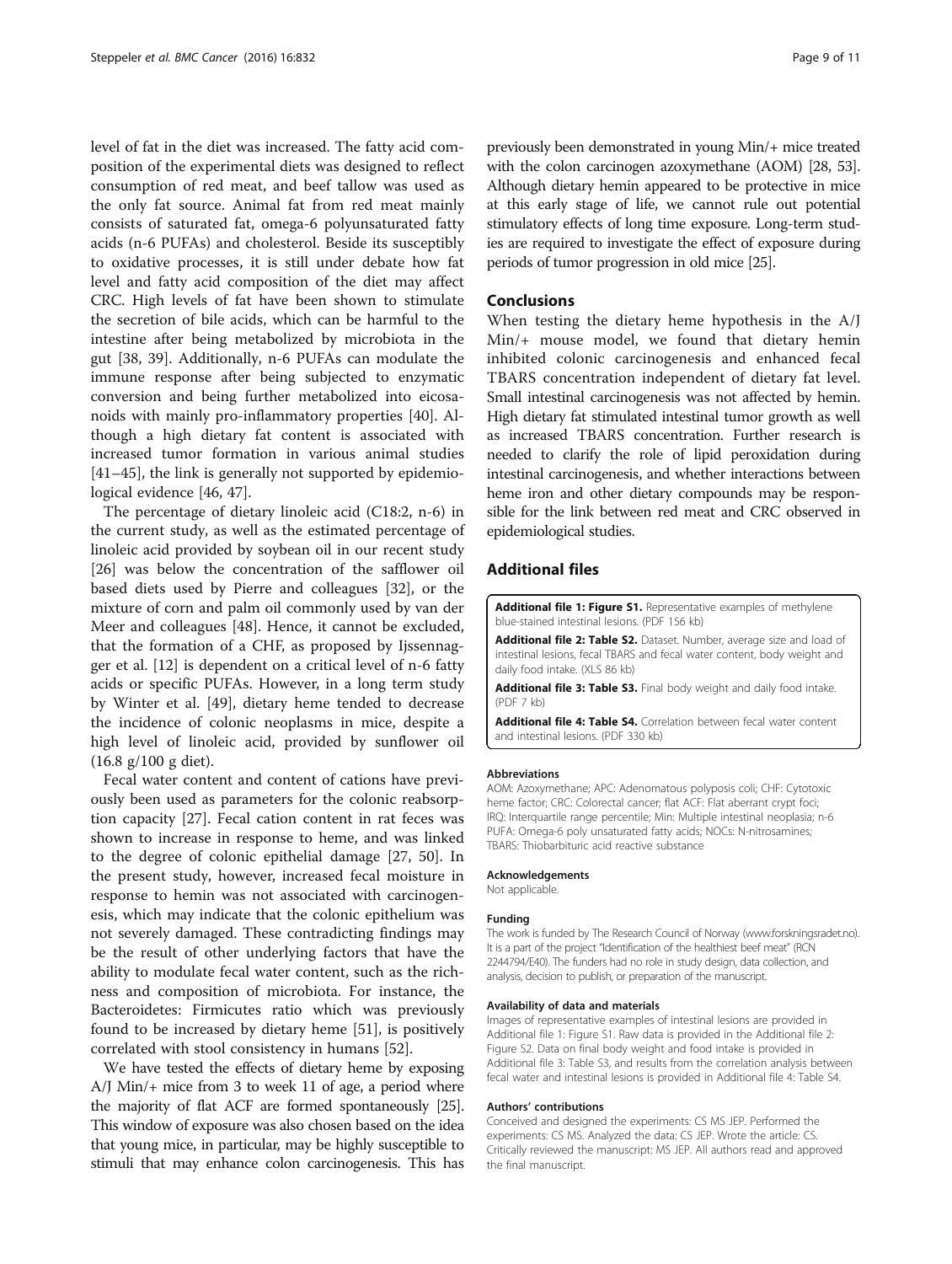<span id="page-8-0"></span>level of fat in the diet was increased. The fatty acid composition of the experimental diets was designed to reflect consumption of red meat, and beef tallow was used as the only fat source. Animal fat from red meat mainly consists of saturated fat, omega-6 polyunsaturated fatty acids (n-6 PUFAs) and cholesterol. Beside its susceptibly to oxidative processes, it is still under debate how fat level and fatty acid composition of the diet may affect CRC. High levels of fat have been shown to stimulate the secretion of bile acids, which can be harmful to the intestine after being metabolized by microbiota in the gut [[38, 39\]](#page-9-0). Additionally, n-6 PUFAs can modulate the immune response after being subjected to enzymatic conversion and being further metabolized into eicosanoids with mainly pro-inflammatory properties [[40\]](#page-9-0). Although a high dietary fat content is associated with increased tumor formation in various animal studies [[41](#page-9-0)–[45](#page-9-0)], the link is generally not supported by epidemiological evidence [\[46](#page-10-0), [47](#page-10-0)].

The percentage of dietary linoleic acid (C18:2, n-6) in the current study, as well as the estimated percentage of linoleic acid provided by soybean oil in our recent study [[26\]](#page-9-0) was below the concentration of the safflower oil based diets used by Pierre and colleagues [\[32](#page-9-0)], or the mixture of corn and palm oil commonly used by van der Meer and colleagues [\[48](#page-10-0)]. Hence, it cannot be excluded, that the formation of a CHF, as proposed by Ijssennagger et al. [[12\]](#page-9-0) is dependent on a critical level of n-6 fatty acids or specific PUFAs. However, in a long term study by Winter et al. [[49](#page-10-0)], dietary heme tended to decrease the incidence of colonic neoplasms in mice, despite a high level of linoleic acid, provided by sunflower oil  $(16.8 \text{ g}/100 \text{ g} \text{ diet}).$ 

Fecal water content and content of cations have previously been used as parameters for the colonic reabsorption capacity [[27\]](#page-9-0). Fecal cation content in rat feces was shown to increase in response to heme, and was linked to the degree of colonic epithelial damage [[27](#page-9-0), [50\]](#page-10-0). In the present study, however, increased fecal moisture in response to hemin was not associated with carcinogenesis, which may indicate that the colonic epithelium was not severely damaged. These contradicting findings may be the result of other underlying factors that have the ability to modulate fecal water content, such as the richness and composition of microbiota. For instance, the Bacteroidetes: Firmicutes ratio which was previously found to be increased by dietary heme [[51\]](#page-10-0), is positively correlated with stool consistency in humans [\[52](#page-10-0)].

We have tested the effects of dietary heme by exposing A/J Min/+ mice from 3 to week 11 of age, a period where the majority of flat ACF are formed spontaneously [\[25](#page-9-0)]. This window of exposure was also chosen based on the idea that young mice, in particular, may be highly susceptible to stimuli that may enhance colon carcinogenesis. This has

previously been demonstrated in young Min/+ mice treated with the colon carcinogen azoxymethane (AOM) [\[28](#page-9-0), [53](#page-10-0)]. Although dietary hemin appeared to be protective in mice at this early stage of life, we cannot rule out potential stimulatory effects of long time exposure. Long-term studies are required to investigate the effect of exposure during periods of tumor progression in old mice [\[25](#page-9-0)].

#### Conclusions

When testing the dietary heme hypothesis in the A/J Min/+ mouse model, we found that dietary hemin inhibited colonic carcinogenesis and enhanced fecal TBARS concentration independent of dietary fat level. Small intestinal carcinogenesis was not affected by hemin. High dietary fat stimulated intestinal tumor growth as well as increased TBARS concentration. Further research is needed to clarify the role of lipid peroxidation during intestinal carcinogenesis, and whether interactions between heme iron and other dietary compounds may be responsible for the link between red meat and CRC observed in epidemiological studies.

#### Additional files

[Additional file 1: Figure S1.](dx.doi.org/10.1186/s12885-016-2874-0) Representative examples of methylene blue-stained intestinal lesions. (PDF 156 kb)

[Additional file 2: Table S2.](dx.doi.org/10.1186/s12885-016-2874-0) Dataset. Number, average size and load of intestinal lesions, fecal TBARS and fecal water content, body weight and daily food intake. (XLS 86 kb)

[Additional file 3: Table S3.](dx.doi.org/10.1186/s12885-016-2874-0) Final body weight and daily food intake. (PDF 7 kb)

[Additional file 4: Table S4.](dx.doi.org/10.1186/s12885-016-2874-0) Correlation between fecal water content and intestinal lesions. (PDF 330 kb)

#### Abbreviations

AOM: Azoxymethane; APC: Adenomatous polyposis coli; CHF: Cytotoxic heme factor; CRC: Colorectal cancer; flat ACF: Flat aberrant crypt foci; IRQ: Interquartile range percentile; Min: Multiple intestinal neoplasia; n-6 PUFA: Omega-6 poly unsaturated fatty acids; NOCs: N-nitrosamines; TBARS: Thiobarbituric acid reactive substance

#### Acknowledgements

Not applicable.

#### Funding

The work is funded by The Research Council of Norway ([www.forskningsradet.no\)](http://www.forskningsradet.no). It is a part of the project "Identification of the healthiest beef meat" (RCN 2244794/E40). The funders had no role in study design, data collection, and analysis, decision to publish, or preparation of the manuscript.

#### Availability of data and materials

Images of representative examples of intestinal lesions are provided in Additional file 1: Figure S1. Raw data is provided in the Additional file 2: Figure S2. Data on final body weight and food intake is provided in Additional file 3: Table S3, and results from the correlation analysis between fecal water and intestinal lesions is provided in Additional file 4: Table S4.

#### Authors' contributions

Conceived and designed the experiments: CS MS JEP. Performed the experiments: CS MS. Analyzed the data: CS JEP. Wrote the article: CS. Critically reviewed the manuscript: MS JEP. All authors read and approved the final manuscript.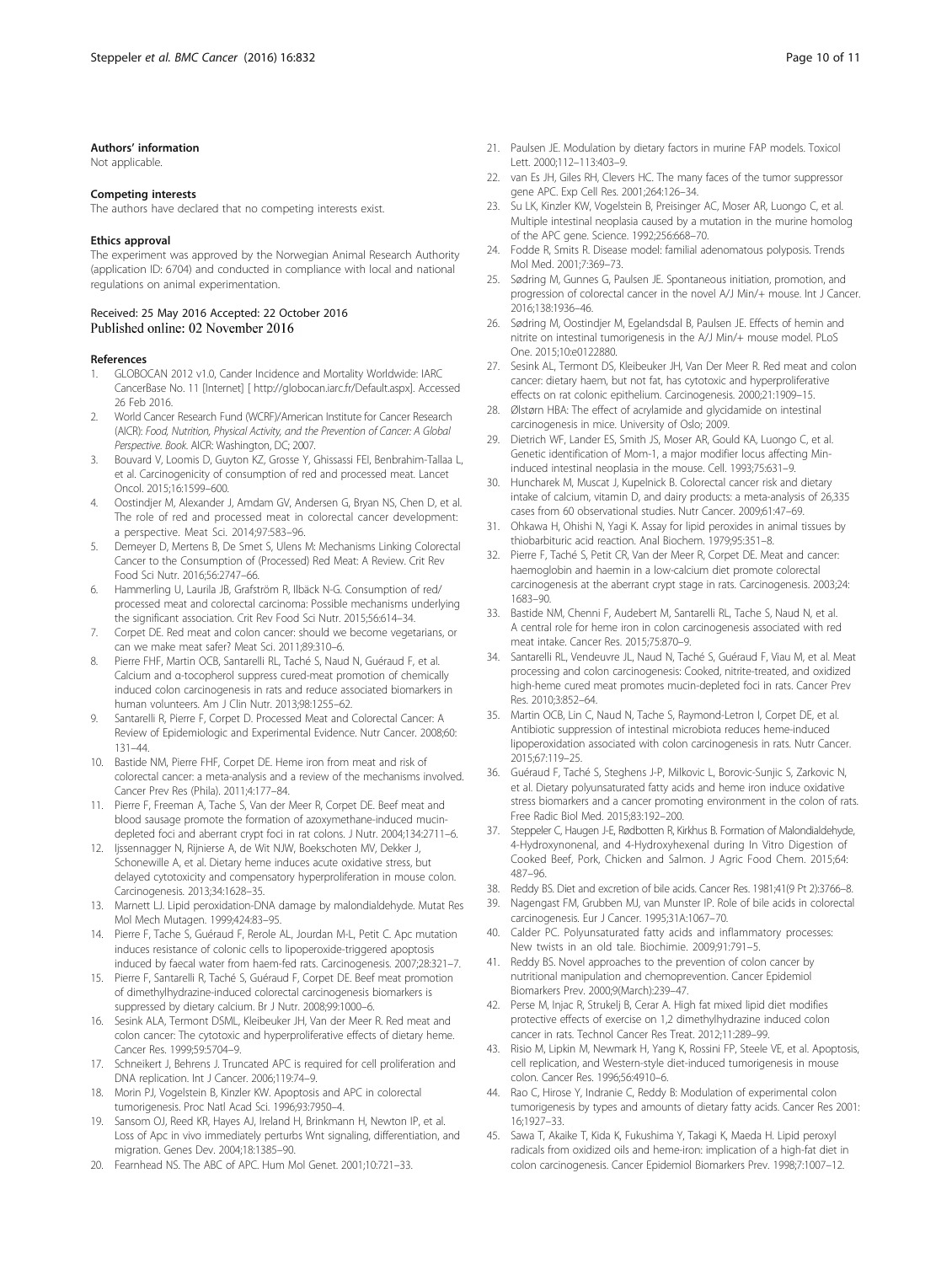#### <span id="page-9-0"></span>Authors' information

Not applicable.

#### Competing interests

The authors have declared that no competing interests exist.

#### Ethics approval

The experiment was approved by the Norwegian Animal Research Authority (application ID: 6704) and conducted in compliance with local and national regulations on animal experimentation.

#### Received: 25 May 2016 Accepted: 22 October 2016 Published online: 02 November 2016

#### References

- 1. GLOBOCAN 2012 v1.0, Cander Incidence and Mortality Worldwide: IARC CancerBase No. 11 [Internet] [ [http://globocan.iarc.fr/Default.aspx\]](http://globocan.iarc.fr/Default.aspx). Accessed 26 Feb 2016.
- 2. World Cancer Research Fund (WCRF)/American Institute for Cancer Research (AICR): Food, Nutrition, Physical Activity, and the Prevention of Cancer: A Global Perspective. Book. AICR: Washington, DC; 2007.
- 3. Bouvard V, Loomis D, Guyton KZ, Grosse Y, Ghissassi FEI, Benbrahim-Tallaa L, et al. Carcinogenicity of consumption of red and processed meat. Lancet Oncol. 2015;16:1599–600.
- 4. Oostindjer M, Alexander J, Amdam GV, Andersen G, Bryan NS, Chen D, et al. The role of red and processed meat in colorectal cancer development: a perspective. Meat Sci. 2014;97:583–96.
- 5. Demeyer D, Mertens B, De Smet S, Ulens M: Mechanisms Linking Colorectal Cancer to the Consumption of (Processed) Red Meat: A Review. Crit Rev Food Sci Nutr. 2016;56:2747–66.
- 6. Hammerling U, Laurila JB, Grafström R, Ilbäck N-G. Consumption of red/ processed meat and colorectal carcinoma: Possible mechanisms underlying the significant association. Crit Rev Food Sci Nutr. 2015;56:614–34.
- 7. Corpet DE. Red meat and colon cancer: should we become vegetarians, or can we make meat safer? Meat Sci. 2011;89:310–6.
- 8. Pierre FHF, Martin OCB, Santarelli RL, Taché S, Naud N, Guéraud F, et al. Calcium and α-tocopherol suppress cured-meat promotion of chemically induced colon carcinogenesis in rats and reduce associated biomarkers in human volunteers. Am J Clin Nutr. 2013;98:1255–62.
- 9. Santarelli R, Pierre F, Corpet D. Processed Meat and Colorectal Cancer: A Review of Epidemiologic and Experimental Evidence. Nutr Cancer. 2008;60: 131–44.
- 10. Bastide NM, Pierre FHF, Corpet DE. Heme iron from meat and risk of colorectal cancer: a meta-analysis and a review of the mechanisms involved. Cancer Prev Res (Phila). 2011;4:177–84.
- 11. Pierre F, Freeman A, Tache S, Van der Meer R, Corpet DE. Beef meat and blood sausage promote the formation of azoxymethane-induced mucindepleted foci and aberrant crypt foci in rat colons. J Nutr. 2004;134:2711–6.
- 12. Ijssennagger N, Rijnierse A, de Wit NJW, Boekschoten MV, Dekker J, Schonewille A, et al. Dietary heme induces acute oxidative stress, but delayed cytotoxicity and compensatory hyperproliferation in mouse colon. Carcinogenesis. 2013;34:1628–35.
- 13. Marnett LJ. Lipid peroxidation-DNA damage by malondialdehyde. Mutat Res Mol Mech Mutagen. 1999;424:83–95.
- 14. Pierre F, Tache S, Guéraud F, Rerole AL, Jourdan M-L, Petit C. Apc mutation induces resistance of colonic cells to lipoperoxide-triggered apoptosis induced by faecal water from haem-fed rats. Carcinogenesis. 2007;28:321–7.
- 15. Pierre F, Santarelli R, Taché S, Guéraud F, Corpet DE. Beef meat promotion of dimethylhydrazine-induced colorectal carcinogenesis biomarkers is suppressed by dietary calcium. Br J Nutr. 2008;99:1000–6.
- 16. Sesink ALA, Termont DSML, Kleibeuker JH, Van der Meer R. Red meat and colon cancer: The cytotoxic and hyperproliferative effects of dietary heme. Cancer Res. 1999;59:5704–9.
- 17. Schneikert J, Behrens J. Truncated APC is required for cell proliferation and DNA replication. Int J Cancer. 2006;119:74–9.
- 18. Morin PJ, Vogelstein B, Kinzler KW. Apoptosis and APC in colorectal tumorigenesis. Proc Natl Acad Sci. 1996;93:7950–4.
- 19. Sansom OJ, Reed KR, Hayes AJ, Ireland H, Brinkmann H, Newton IP, et al. Loss of Apc in vivo immediately perturbs Wnt signaling, differentiation, and migration. Genes Dev. 2004;18:1385–90.
- 20. Fearnhead NS. The ABC of APC. Hum Mol Genet. 2001;10:721–33.
- 21. Paulsen JE. Modulation by dietary factors in murine FAP models. Toxicol Lett. 2000;112–113:403–9.
- 22. van Es JH, Giles RH, Clevers HC. The many faces of the tumor suppressor gene APC. Exp Cell Res. 2001;264:126–34.
- 23. Su LK, Kinzler KW, Vogelstein B, Preisinger AC, Moser AR, Luongo C, et al. Multiple intestinal neoplasia caused by a mutation in the murine homolog of the APC gene. Science. 1992;256:668–70.
- 24. Fodde R, Smits R. Disease model: familial adenomatous polyposis. Trends Mol Med. 2001;7:369–73.
- 25. Sødring M, Gunnes G, Paulsen JE. Spontaneous initiation, promotion, and progression of colorectal cancer in the novel A/J Min/+ mouse. Int J Cancer. 2016;138:1936–46.
- 26. Sødring M, Oostindjer M, Egelandsdal B, Paulsen JE. Effects of hemin and nitrite on intestinal tumorigenesis in the A/J Min/+ mouse model. PLoS One. 2015;10:e0122880.
- 27. Sesink AL, Termont DS, Kleibeuker JH, Van Der Meer R. Red meat and colon cancer: dietary haem, but not fat, has cytotoxic and hyperproliferative effects on rat colonic epithelium. Carcinogenesis. 2000;21:1909–15.
- 28. Ølstørn HBA: The effect of acrylamide and glycidamide on intestinal carcinogenesis in mice. University of Oslo; 2009.
- 29. Dietrich WF, Lander ES, Smith JS, Moser AR, Gould KA, Luongo C, et al. Genetic identification of Mom-1, a major modifier locus affecting Mininduced intestinal neoplasia in the mouse. Cell. 1993;75:631–9.
- 30. Huncharek M, Muscat J, Kupelnick B. Colorectal cancer risk and dietary intake of calcium, vitamin D, and dairy products: a meta-analysis of 26,335 cases from 60 observational studies. Nutr Cancer. 2009;61:47–69.
- 31. Ohkawa H, Ohishi N, Yagi K. Assay for lipid peroxides in animal tissues by thiobarbituric acid reaction. Anal Biochem. 1979;95:351–8.
- Pierre F, Taché S, Petit CR, Van der Meer R, Corpet DE. Meat and cancer: haemoglobin and haemin in a low-calcium diet promote colorectal carcinogenesis at the aberrant crypt stage in rats. Carcinogenesis. 2003;24: 1683–90.
- 33. Bastide NM, Chenni F, Audebert M, Santarelli RL, Tache S, Naud N, et al. A central role for heme iron in colon carcinogenesis associated with red meat intake. Cancer Res. 2015;75:870–9.
- 34. Santarelli RL, Vendeuvre JL, Naud N, Taché S, Guéraud F, Viau M, et al. Meat processing and colon carcinogenesis: Cooked, nitrite-treated, and oxidized high-heme cured meat promotes mucin-depleted foci in rats. Cancer Prev Res. 2010;3:852–64.
- 35. Martin OCB, Lin C, Naud N, Tache S, Raymond-Letron I, Corpet DE, et al. Antibiotic suppression of intestinal microbiota reduces heme-induced lipoperoxidation associated with colon carcinogenesis in rats. Nutr Cancer. 2015;67:119–25.
- 36. Guéraud F, Taché S, Steghens J-P, Milkovic L, Borovic-Sunjic S, Zarkovic N, et al. Dietary polyunsaturated fatty acids and heme iron induce oxidative stress biomarkers and a cancer promoting environment in the colon of rats. Free Radic Biol Med. 2015;83:192–200.
- 37. Steppeler C, Haugen J-E, Rødbotten R, Kirkhus B. Formation of Malondialdehyde, 4-Hydroxynonenal, and 4-Hydroxyhexenal during In Vitro Digestion of Cooked Beef, Pork, Chicken and Salmon. J Agric Food Chem. 2015;64: 487–96.
- 38. Reddy BS. Diet and excretion of bile acids. Cancer Res. 1981;41(9 Pt 2):3766–8.
- 39. Nagengast FM, Grubben MJ, van Munster IP. Role of bile acids in colorectal carcinogenesis. Eur J Cancer. 1995;31A:1067–70.
- 40. Calder PC. Polyunsaturated fatty acids and inflammatory processes: New twists in an old tale. Biochimie. 2009;91:791–5.
- 41. Reddy BS. Novel approaches to the prevention of colon cancer by nutritional manipulation and chemoprevention. Cancer Epidemiol Biomarkers Prev. 2000;9(March):239–47.
- 42. Perse M, Injac R, Strukelj B, Cerar A. High fat mixed lipid diet modifies protective effects of exercise on 1,2 dimethylhydrazine induced colon cancer in rats. Technol Cancer Res Treat. 2012;11:289–99.
- 43. Risio M, Lipkin M, Newmark H, Yang K, Rossini FP, Steele VE, et al. Apoptosis, cell replication, and Western-style diet-induced tumorigenesis in mouse colon. Cancer Res. 1996;56:4910–6.
- 44. Rao C, Hirose Y, Indranie C, Reddy B: Modulation of experimental colon tumorigenesis by types and amounts of dietary fatty acids. Cancer Res 2001: 16;1927–33.
- 45. Sawa T, Akaike T, Kida K, Fukushima Y, Takagi K, Maeda H. Lipid peroxyl radicals from oxidized oils and heme-iron: implication of a high-fat diet in colon carcinogenesis. Cancer Epidemiol Biomarkers Prev. 1998;7:1007–12.